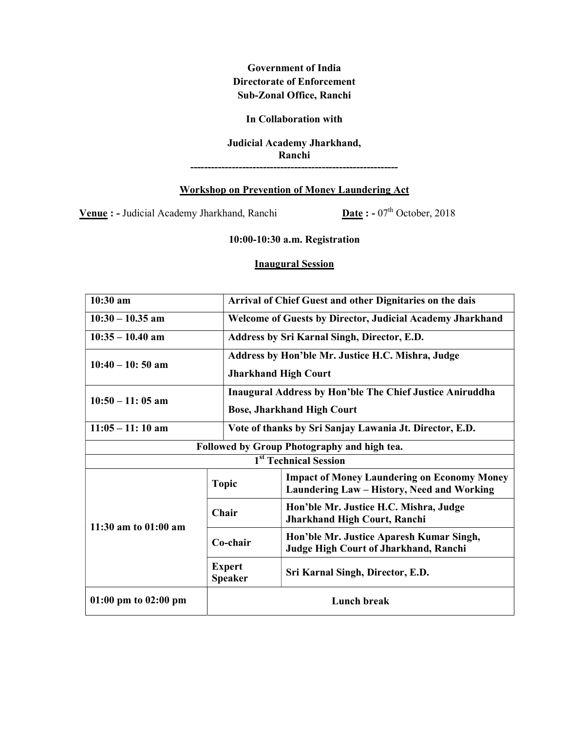Government of India Directorate of Enforcement Sub-Zonal Office, Ranchi

## In Collaboration with

## Judicial Academy Jharkhand, Ranchi

------------------------------------------------------------

## Workshop on Prevention of Money Laundering Act

Venue : - Judicial Academy Jharkhand, Ranchi  $\frac{\text{Date}}{\text{Date}}$  : - 07<sup>th</sup> October, 2018

10:00-10:30 a.m. Registration

## Inaugural Session

| 10:30 am                                    |                                 | Arrival of Chief Guest and other Dignitaries on the dais                                         |  |  |
|---------------------------------------------|---------------------------------|--------------------------------------------------------------------------------------------------|--|--|
| $10:30 - 10.35$ am                          |                                 | <b>Welcome of Guests by Director, Judicial Academy Jharkhand</b>                                 |  |  |
| $10:35 - 10.40$ am                          |                                 | Address by Sri Karnal Singh, Director, E.D.                                                      |  |  |
| $10:40 - 10:50$ am                          |                                 | Address by Hon'ble Mr. Justice H.C. Mishra, Judge                                                |  |  |
|                                             |                                 | <b>Jharkhand High Court</b>                                                                      |  |  |
| $10:50 - 11:05$ am                          |                                 | <b>Inaugural Address by Hon'ble The Chief Justice Aniruddha</b>                                  |  |  |
|                                             |                                 | <b>Bose, Jharkhand High Court</b>                                                                |  |  |
| $11:05 - 11:10$ am                          |                                 | Vote of thanks by Sri Sanjay Lawania Jt. Director, E.D.                                          |  |  |
| Followed by Group Photography and high tea. |                                 |                                                                                                  |  |  |
| 1 <sup>st</sup> Technical Session           |                                 |                                                                                                  |  |  |
| 11:30 am to 01:00 am                        | <b>Topic</b>                    | <b>Impact of Money Laundering on Economy Money</b><br>Laundering Law - History, Need and Working |  |  |
|                                             | Chair                           | Hon'ble Mr. Justice H.C. Mishra, Judge<br>Jharkhand High Court, Ranchi                           |  |  |
|                                             | Co-chair                        | Hon'ble Mr. Justice Aparesh Kumar Singh,<br>Judge High Court of Jharkhand, Ranchi                |  |  |
|                                             | <b>Expert</b><br><b>Speaker</b> | Sri Karnal Singh, Director, E.D.                                                                 |  |  |
| $01:00 \text{ pm}$ to $02:00 \text{ pm}$    | <b>Lunch break</b>              |                                                                                                  |  |  |